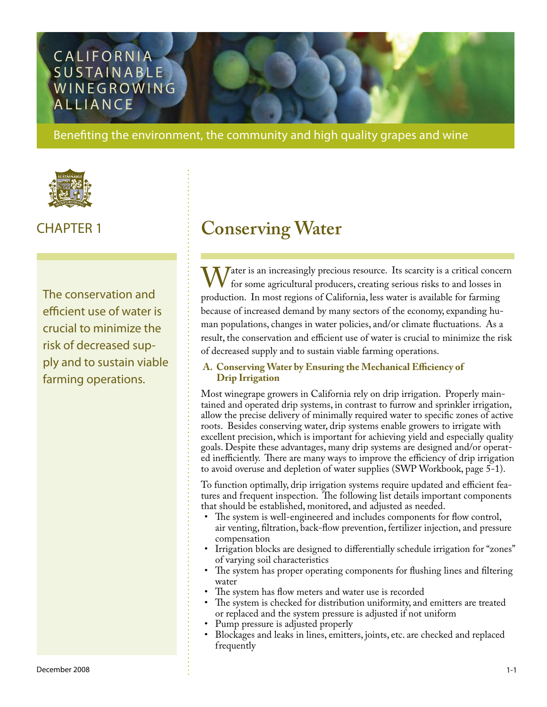### **CALIFORNIA** SUSTAINABLE WINE GROWING **ALLIANCE**

Benefiting the environment, the community and high quality grapes and wine



The conservation and efficient use of water is crucial to minimize the risk of decreased supply and to sustain viable farming operations.

# CHAPTER 1 **Conserving Water**

Water is an increasingly precious resource. Its scarcity is a critical concern<br>for some agricultural producers, creating serious risks to and losses in<br>production. In most regions of California, less water is available for for some agricultural producers, creating serious risks to and losses in production. In most regions of California, less water is available for farming because of increased demand by many sectors of the economy, expanding human populations, changes in water policies, and/or climate fluctuations. As a result, the conservation and efficient use of water is crucial to minimize the risk of decreased supply and to sustain viable farming operations.

#### **A. Conserving Water by Ensuring the Mechanical Efficiency of Drip Irrigation**

Most winegrape growers in California rely on drip irrigation. Properly maintained and operated drip systems, in contrast to furrow and sprinkler irrigation, allow the precise delivery of minimally required water to specific zones of active roots. Besides conserving water, drip systems enable growers to irrigate with excellent precision, which is important for achieving yield and especially quality goals. Despite these advantages, many drip systems are designed and/or operated inefficiently. There are many ways to improve the efficiency of drip irrigation to avoid overuse and depletion of water supplies (SWP Workbook, page 5-1).

To function optimally, drip irrigation systems require updated and efficient features and frequent inspection. The following list details important components that should be established, monitored, and adjusted as needed.

- The system is well-engineered and includes components for flow control, air venting, filtration, back-flow prevention, fertilizer injection, and pressure compensation
- Irrigation blocks are designed to differentially schedule irrigation for "zones" of varying soil characteristics
- The system has proper operating components for flushing lines and filtering water •
- The system has flow meters and water use is recorded •
- The system is checked for distribution uniformity, and emitters are treated or replaced and the system pressure is adjusted if not uniform •
- Pump pressure is adjusted properly •
- Blockages and leaks in lines, emitters, joints, etc. are checked and replaced frequently •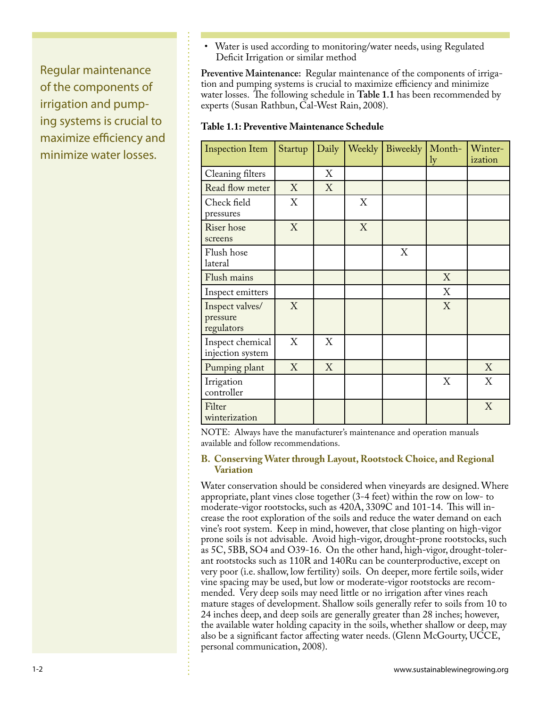Regular maintenance of the components of irrigation and pumping systems is crucial to maximize efficiency and minimize water losses.

Water is used according to monitoring/water needs, using Regulated Deficit Irrigation or similar method •

**Preventive Maintenance:** Regular maintenance of the components of irrigation and pumping systems is crucial to maximize efficiency and minimize water losses. The following schedule in **Table 1.1** has been recommended by experts (Susan Rathbun, Cal-West Rain, 2008).

#### **Table 1.1: Preventive Maintenance Schedule**

| <b>Inspection Item</b>                    | Startup | Daily |   | Weekly Biweekly | Month-<br>ly | Winter-<br>ization |
|-------------------------------------------|---------|-------|---|-----------------|--------------|--------------------|
| Cleaning filters                          |         | X     |   |                 |              |                    |
| Read flow meter                           | X       | X     |   |                 |              |                    |
| Check field<br>pressures                  | X       |       | X |                 |              |                    |
| Riser hose<br>screens                     | X       |       | X |                 |              |                    |
| Flush hose<br>lateral                     |         |       |   | X               |              |                    |
| Flush mains                               |         |       |   |                 | X            |                    |
| Inspect emitters                          |         |       |   |                 | X            |                    |
| Inspect valves/<br>pressure<br>regulators | X       |       |   |                 | X            |                    |
| Inspect chemical<br>injection system      | X       | X     |   |                 |              |                    |
| Pumping plant                             | X       | X     |   |                 |              | X                  |
| Irrigation<br>controller                  |         |       |   |                 | X            | X                  |
| Filter<br>winterization                   |         |       |   |                 |              | X                  |

NOTE: Always have the manufacturer's maintenance and operation manuals available and follow recommendations.

#### **B. Conserving Water through Layout, Rootstock Choice, and Regional Variation**

Water conservation should be considered when vineyards are designed. Where appropriate, plant vines close together (3-4 feet) within the row on low- to moderate-vigor rootstocks, such as 420A, 3309C and 101-14. This will increase the root exploration of the soils and reduce the water demand on each vine's root system. Keep in mind, however, that close planting on high-vigor prone soils is not advisable. Avoid high-vigor, drought-prone rootstocks, such as 5C, 5BB, SO4 and O39-16. On the other hand, high-vigor, drought-tolerant rootstocks such as 110R and 140Ru can be counterproductive, except on very poor (i.e. shallow, low fertility) soils. On deeper, more fertile soils, wider vine spacing may be used, but low or moderate-vigor rootstocks are recommended. Very deep soils may need little or no irrigation after vines reach mature stages of development. Shallow soils generally refer to soils from 10 to 24 inches deep, and deep soils are generally greater than 28 inches; however, the available water holding capacity in the soils, whether shallow or deep, may also be a significant factor affecting water needs. (Glenn McGourty, UCCE, personal communication, 2008).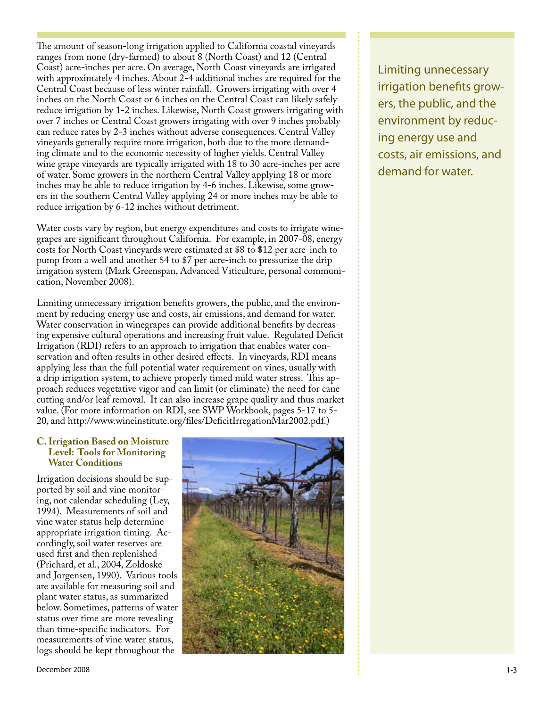The amount of season-long irrigation applied to California coastal vineyards ranges from none (dry-farmed) to about 8 (North Coast) and 12 (Central Coast) acre-inches per acre. On average, North Coast vineyards are irrigated with approximately 4 inches. About 2-4 additional inches are required for the Central Coast because of less winter rainfall. Growers irrigating with over 4 inches on the North Coast or 6 inches on the Central Coast can likely safely reduce irrigation by 1-2 inches. Likewise, North Coast growers irrigating with over 7 inches or Central Coast growers irrigating with over 9 inches probably can reduce rates by 2-3 inches without adverse consequences. Central Valley vineyards generally require more irrigation, both due to the more demanding climate and to the economic necessity of higher yields. Central Valley wine grape vineyards are typically irrigated with 18 to 30 acre-inches per acre of water. Some growers in the northern Central Valley applying 18 or more inches may be able to reduce irrigation by 4-6 inches. Likewise, some growers in the southern Central Valley applying 24 or more inches may be able to reduce irrigation by 6-12 inches without detriment.

Water costs vary by region, but energy expenditures and costs to irrigate winegrapes are significant throughout California. For example, in 2007-08, energy costs for North Coast vineyards were estimated at \$8 to \$12 per acre-inch to pump from a well and another \$4 to \$7 per acre-inch to pressurize the drip irrigation system (Mark Greenspan, Advanced Viticulture, personal communication, November 2008).

Limiting unnecessary irrigation benefits growers, the public, and the environment by reducing energy use and costs, air emissions, and demand for water. Water conservation in winegrapes can provide additional benefits by decreasing expensive cultural operations and increasing fruit value. Regulated Deficit Irrigation (RDI) refers to an approach to irrigation that enables water conservation and often results in other desired effects. In vineyards, RDI means applying less than the full potential water requirement on vines, usually with a drip irrigation system, to achieve properly timed mild water stress. This approach reduces vegetative vigor and can limit (or eliminate) the need for cane cutting and/or leaf removal. It can also increase grape quality and thus market value. (For more information on RDI, see SWP Workbook, pages 5-17 to 5- 20, and [http://www.wineinstitute.org/files/DeficitIrregationMar2002.pdf.](http://www.wineinstitute.org/files/DeficitIrregationMar2002.pdf))

#### **C. Irrigation Based on Moisture Level: Tools for Monitoring Water Conditions**

Irrigation decisions should be supported by soil and vine monitoring, not calendar scheduling (Ley, 1994). Measurements of soil and vine water status help determine appropriate irrigation timing. Accordingly, soil water reserves are used first and then replenished (Prichard, et al., 2004, Zoldoske and Jorgensen, 1990). Various tools are available for measuring soil and plant water status, as summarized below. Sometimes, patterns of water status over time are more revealing than time-specific indicators. For measurements of vine water status, logs should be kept throughout the



Limiting unnecessary irrigation benefits growers, the public, and the environment by reducing energy use and costs, air emissions, and demand for water.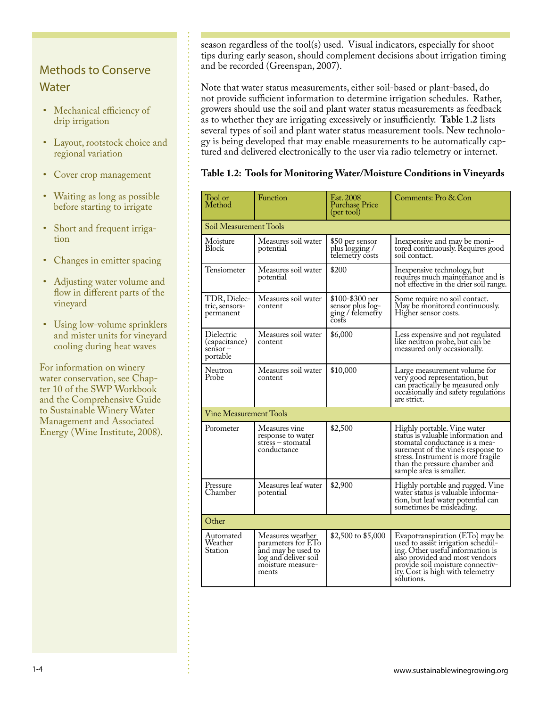### Methods to Conserve **Water**

- Mechanical efficiency of drip irrigation
- Layout, rootstock choice and regional variation
- Cover crop management
- Waiting as long as possible before starting to irrigate
- Short and frequent irrigation
- Changes in emitter spacing •
- Adjusting water volume and flow in different parts of the vineyard
- Using low-volume sprinklers and mister units for vineyard cooling during heat waves

For information on winery water conservation, see Chapter 10 of the SWP Workbook and the Comprehensive Guide to Sustainable Winery Water Management and Associated Energy (Wine Institute, 2008). season regardless of the tool(s) used. Visual indicators, especially for shoot tips during early season, should complement decisions about irrigation timing and be recorded (Greenspan, 2007).

Note that water status measurements, either soil-based or plant-based, do not provide sufficient information to determine irrigation schedules. Rather, growers should use the soil and plant water status measurements as feedback as to whether they are irrigating excessively or insufficiently. **Table 1.2** lists several types of soil and plant water status measurement tools. New technology is being developed that may enable measurements to be automatically captured and delivered electronically to the user via radio telemetry or internet.

**Table 1.2: Tools for Monitoring Water/Moisture Conditions in Vineyards**

| Tool or<br>Method                                      | Function                                                                                                           | Est. 2008<br><b>Purchase Price</b><br>(per tool)                 | Comments: Pro & Con                                                                                                                                                                                                                         |  |  |  |
|--------------------------------------------------------|--------------------------------------------------------------------------------------------------------------------|------------------------------------------------------------------|---------------------------------------------------------------------------------------------------------------------------------------------------------------------------------------------------------------------------------------------|--|--|--|
| Soil Measurement Tools                                 |                                                                                                                    |                                                                  |                                                                                                                                                                                                                                             |  |  |  |
| Moisture<br>Block                                      | Measures soil water<br>potential                                                                                   | \$50 per sensor<br>plus logging /<br>telemetry costs             | Inexpensive and may be moni-<br>tored continuously. Requires good<br>soil contact.                                                                                                                                                          |  |  |  |
| Tensiometer                                            | Measures soil water<br>potential                                                                                   | \$200                                                            | In expensive technology, but<br>requires much maintenance and is<br>not effective in the drier soil range.                                                                                                                                  |  |  |  |
| TDR, Dielec-<br>tric, sensors-<br>permanent            | Measures soil water<br>content                                                                                     | \$100-\$300 per<br>sensor plus log-<br>ging / telemetry<br>čosťs | Some require no soil contact.<br>May be monitored continuously.<br>Higher sensor costs.                                                                                                                                                     |  |  |  |
| Dielectric<br>(capacitance)<br>$s$ ensor –<br>portable | Measures soil water<br>content                                                                                     | \$6,000                                                          | Less expensive and not regulated<br>like neutron probe, but can be<br>measured only occasionally.                                                                                                                                           |  |  |  |
| Neutron<br>Probe                                       | Measures soil water<br>content                                                                                     | \$10,000                                                         | Large measurement volume for<br>very good representation, but<br>can practically be measured only<br>occasionally and safety regulations<br>are strict.                                                                                     |  |  |  |
| <b>Vine Measurement Tools</b>                          |                                                                                                                    |                                                                  |                                                                                                                                                                                                                                             |  |  |  |
| Porometer                                              | Measures vine<br>response to water<br>stress – stomatal<br>conductance                                             | \$2,500                                                          | Highly portable. Vine water<br>status is valuable information and<br>stomatal conductance is a mea-<br>surement of the vine's response to<br>stress. Instrument is more fragile<br>than the pressure chamber and<br>sample area is smaller. |  |  |  |
| Pressure<br>Chamber                                    | Measures leaf water<br>potential                                                                                   | \$2,900                                                          | Highly portable and rugged. Vine<br>water status is valuable informa-<br>tion, but leaf water potential can<br>sometimes be misleading.                                                                                                     |  |  |  |
| Other                                                  |                                                                                                                    |                                                                  |                                                                                                                                                                                                                                             |  |  |  |
| Automated<br>Weather<br>Station                        | Measures weather<br>parameters for ETo<br>and may be used to<br>log and deliver soil<br>moisture measure-<br>ments | \$2,500 to \$5,000                                               | Evapotranspiration (ETo) may be<br>used to assist irrigation schedul-<br>ing. Other useful information is<br>also provided and most vendors<br>provide soil moisture connectiv-<br>ity. Cost is high with telemetry<br>sólutions.           |  |  |  |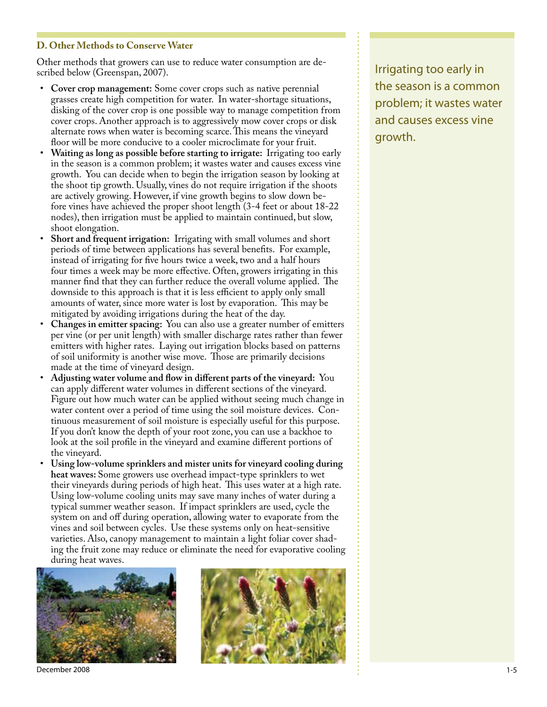#### **D. Other Methods to Conserve Water**

Other methods that growers can use to reduce water consumption are described below (Greenspan, 2007).

- Cover crop management: Some cover crops such as native perennial grasses create high competition for water. In water-shortage situations, disking of the cover crop is one possible way to manage competition from cover crops. Another approach is to aggressively mow cover crops or disk alternate rows when water is becoming scarce. This means the vineyard floor will be more conducive to a cooler microclimate for your fruit.
- **Waiting as long as possible before starting to irrigate:** Irrigating too early in the season is a common problem; it wastes water and causes excess vine growth. You can decide when to begin the irrigation season by looking at the shoot tip growth. Usually, vines do not require irrigation if the shoots are actively growing. However, if vine growth begins to slow down before vines have achieved the proper shoot length (3-4 feet or about 18-22 nodes), then irrigation must be applied to maintain continued, but slow, shoot elongation. •
- **Short and frequent irrigation:** Irrigating with small volumes and short periods of time between applications has several benefits. For example, instead of irrigating for five hours twice a week, two and a half hours four times a week may be more effective. Often, growers irrigating in this manner find that they can further reduce the overall volume applied. The downside to this approach is that it is less efficient to apply only small amounts of water, since more water is lost by evaporation. This may be mitigated by avoiding irrigations during the heat of the day. •
- **Changes in emitter spacing:** You can also use a greater number of emitters per vine (or per unit length) with smaller discharge rates rather than fewer emitters with higher rates. Laying out irrigation blocks based on patterns of soil uniformity is another wise move. Those are primarily decisions made at the time of vineyard design. •
- **Adjusting water volume and flow in different parts of the vineyard:** You can apply different water volumes in different sections of the vineyard. Figure out how much water can be applied without seeing much change in water content over a period of time using the soil moisture devices. Continuous measurement of soil moisture is especially useful for this purpose. If you don't know the depth of your root zone, you can use a backhoe to look at the soil profile in the vineyard and examine different portions of the vineyard. •
- **Using low-volume sprinklers and mister units for vineyard cooling during heat waves:** Some growers use overhead impact-type sprinklers to wet their vineyards during periods of high heat. This uses water at a high rate. Using low-volume cooling units may save many inches of water during a typical summer weather season. If impact sprinklers are used, cycle the system on and off during operation, allowing water to evaporate from the vines and soil between cycles. Use these systems only on heat-sensitive varieties. Also, canopy management to maintain a light foliar cover shading the fruit zone may reduce or eliminate the need for evaporative cooling during heat waves. •



December 2008 1-5



Irrigating too early in the season is a common problem; it wastes water and causes excess vine growth.